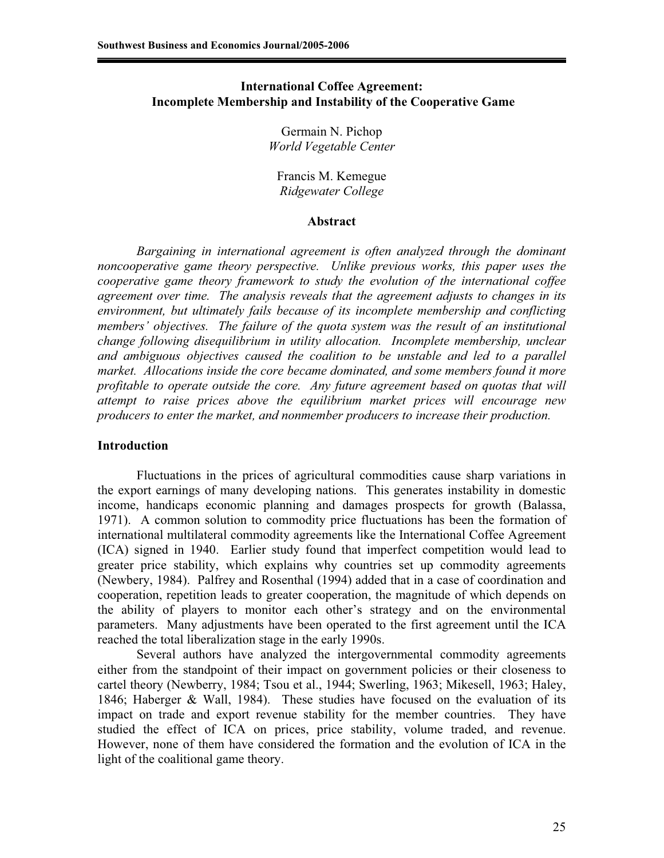### **International Coffee Agreement: Incomplete Membership and Instability of the Cooperative Game**

Germain N. Pichop *World Vegetable Center* 

Francis M. Kemegue *Ridgewater College*

#### **Abstract**

*Bargaining in international agreement is often analyzed through the dominant noncooperative game theory perspective. Unlike previous works, this paper uses the cooperative game theory framework to study the evolution of the international coffee agreement over time. The analysis reveals that the agreement adjusts to changes in its environment, but ultimately fails because of its incomplete membership and conflicting members' objectives. The failure of the quota system was the result of an institutional change following disequilibrium in utility allocation. Incomplete membership, unclear*  and ambiguous objectives caused the coalition to be unstable and led to a parallel *market. Allocations inside the core became dominated, and some members found it more profitable to operate outside the core. Any future agreement based on quotas that will attempt to raise prices above the equilibrium market prices will encourage new producers to enter the market, and nonmember producers to increase their production.* 

#### **Introduction**

Fluctuations in the prices of agricultural commodities cause sharp variations in the export earnings of many developing nations. This generates instability in domestic income, handicaps economic planning and damages prospects for growth (Balassa, 1971). A common solution to commodity price fluctuations has been the formation of international multilateral commodity agreements like the International Coffee Agreement (ICA) signed in 1940. Earlier study found that imperfect competition would lead to greater price stability, which explains why countries set up commodity agreements (Newbery, 1984). Palfrey and Rosenthal (1994) added that in a case of coordination and cooperation, repetition leads to greater cooperation, the magnitude of which depends on the ability of players to monitor each other's strategy and on the environmental parameters. Many adjustments have been operated to the first agreement until the ICA reached the total liberalization stage in the early 1990s.

Several authors have analyzed the intergovernmental commodity agreements either from the standpoint of their impact on government policies or their closeness to cartel theory (Newberry, 1984; Tsou et al., 1944; Swerling, 1963; Mikesell, 1963; Haley, 1846; Haberger & Wall, 1984). These studies have focused on the evaluation of its impact on trade and export revenue stability for the member countries. They have studied the effect of ICA on prices, price stability, volume traded, and revenue. However, none of them have considered the formation and the evolution of ICA in the light of the coalitional game theory.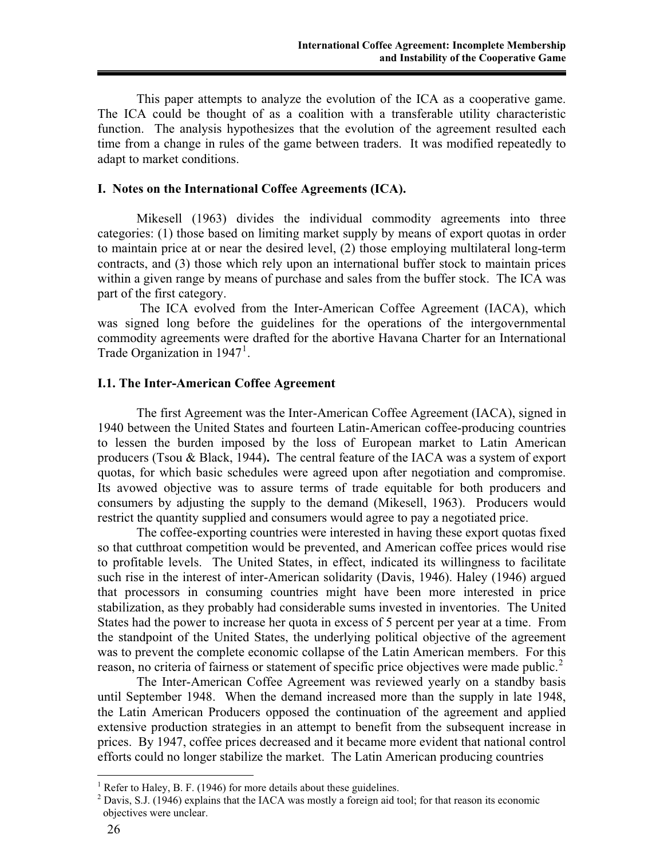This paper attempts to analyze the evolution of the ICA as a cooperative game. The ICA could be thought of as a coalition with a transferable utility characteristic function. The analysis hypothesizes that the evolution of the agreement resulted each time from a change in rules of the game between traders. It was modified repeatedly to adapt to market conditions.

### **I. Notes on the International Coffee Agreements (ICA).**

Mikesell (1963) divides the individual commodity agreements into three categories: (1) those based on limiting market supply by means of export quotas in order to maintain price at or near the desired level, (2) those employing multilateral long-term contracts, and (3) those which rely upon an international buffer stock to maintain prices within a given range by means of purchase and sales from the buffer stock. The ICA was part of the first category.

 The ICA evolved from the Inter-American Coffee Agreement (IACA), which was signed long before the guidelines for the operations of the intergovernmental commodity agreements were drafted for the abortive Havana Charter for an International Trade Organization in  $1947<sup>1</sup>$ .

## **I.1. The Inter-American Coffee Agreement**

The first Agreement was the Inter-American Coffee Agreement (IACA), signed in 1940 between the United States and fourteen Latin-American coffee-producing countries to lessen the burden imposed by the loss of European market to Latin American producers (Tsou & Black, 1944)**.** The central feature of the IACA was a system of export quotas, for which basic schedules were agreed upon after negotiation and compromise. Its avowed objective was to assure terms of trade equitable for both producers and consumers by adjusting the supply to the demand (Mikesell, 1963). Producers would restrict the quantity supplied and consumers would agree to pay a negotiated price.

The coffee-exporting countries were interested in having these export quotas fixed so that cutthroat competition would be prevented, and American coffee prices would rise to profitable levels. The United States, in effect, indicated its willingness to facilitate such rise in the interest of inter-American solidarity (Davis, 1946). Haley (1946) argued that processors in consuming countries might have been more interested in price stabilization, as they probably had considerable sums invested in inventories. The United States had the power to increase her quota in excess of 5 percent per year at a time. From the standpoint of the United States, the underlying political objective of the agreement was to prevent the complete economic collapse of the Latin American members. For this reason, no criteria of fairness or statement of specific price objectives were made public.<sup>2</sup>

The Inter-American Coffee Agreement was reviewed yearly on a standby basis until September 1948. When the demand increased more than the supply in late 1948, the Latin American Producers opposed the continuation of the agreement and applied extensive production strategies in an attempt to benefit from the subsequent increase in prices. By 1947, coffee prices decreased and it became more evident that national control efforts could no longer stabilize the market. The Latin American producing countries

 $\overline{a}$ 

 $<sup>1</sup>$  Refer to Haley, B. F. (1946) for more details about these guidelines.</sup>

 $2$  Davis, S.J. (1946) explains that the IACA was mostly a foreign aid tool; for that reason its economic objectives were unclear.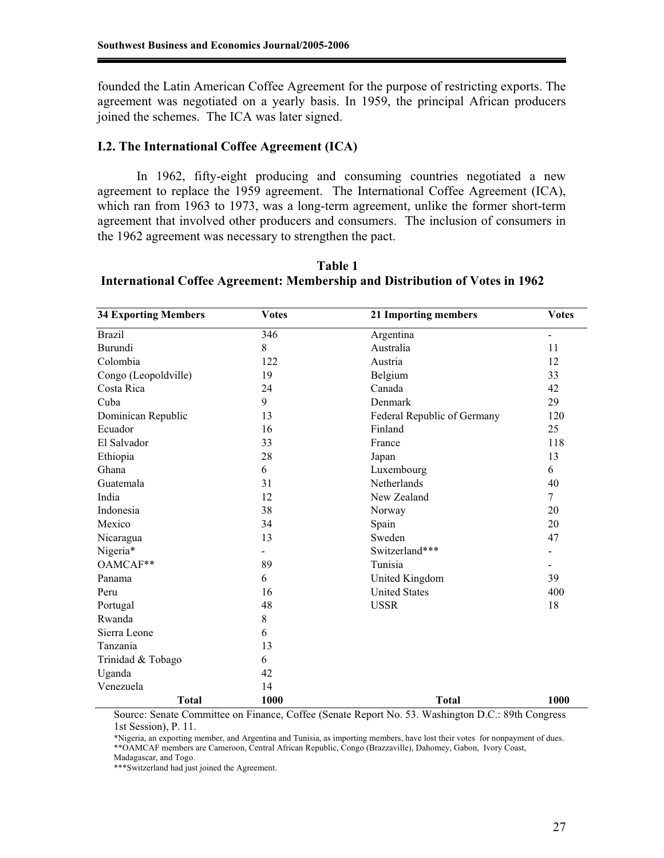founded the Latin American Coffee Agreement for the purpose of restricting exports. The agreement was negotiated on a yearly basis. In 1959, the principal African producers joined the schemes. The ICA was later signed.

#### **I.2. The International Coffee Agreement (ICA)**

In 1962, fifty-eight producing and consuming countries negotiated a new agreement to replace the 1959 agreement. The International Coffee Agreement (ICA), which ran from 1963 to 1973, was a long-term agreement, unlike the former short-term agreement that involved other producers and consumers. The inclusion of consumers in the 1962 agreement was necessary to strengthen the pact.

| <b>34 Exporting Members</b> | <b>Votes</b> | 21 Importing members        | <b>Votes</b>   |
|-----------------------------|--------------|-----------------------------|----------------|
| <b>Brazil</b>               | 346          | Argentina                   | $\blacksquare$ |
| Burundi                     | 8            | Australia                   | 11             |
| Colombia                    | 122          | Austria                     | 12             |
| Congo (Leopoldville)        | 19           | Belgium                     | 33             |
| Costa Rica                  | 24           | Canada                      | 42             |
| Cuba                        | 9            | Denmark                     | 29             |
| Dominican Republic          | 13           | Federal Republic of Germany | 120            |
| Ecuador                     | 16           | Finland                     | 25             |
| El Salvador                 | 33           | France                      | 118            |
| Ethiopia                    | 28           | Japan                       | 13             |
| Ghana                       | 6            | Luxembourg                  | 6              |
| Guatemala                   | 31           | Netherlands                 | 40             |
| India                       | 12           | New Zealand                 | $\tau$         |
| Indonesia                   | 38           | Norway                      | 20             |
| Mexico                      | 34           | Spain                       | 20             |
| Nicaragua                   | 13           | Sweden                      | 47             |
| Nigeria*                    | ÷            | Switzerland***              | $\blacksquare$ |
| OAMCAF**                    | 89           | Tunisia                     | $\blacksquare$ |
| Panama                      | 6            | United Kingdom              | 39             |
| Peru                        | 16           | <b>United States</b>        | 400            |
| Portugal                    | 48           | <b>USSR</b>                 | 18             |
| Rwanda                      | 8            |                             |                |
| Sierra Leone                | 6            |                             |                |
| Tanzania                    | 13           |                             |                |
| Trinidad & Tobago           | 6            |                             |                |
| Uganda                      | 42           |                             |                |
| Venezuela                   | 14           |                             |                |
| <b>Total</b>                | 1000         | <b>Total</b>                | 1000           |

**Table 1 International Coffee Agreement: Membership and Distribution of Votes in 1962** 

Source: Senate Committee on Finance, Coffee (Senate Report No. 53. Washington D.C.: 89th Congress 1st Session), P. 11.

\*Nigeria, an exporting member, and Argentina and Tunisia, as importing members, have lost their votes for nonpayment of dues. \*\*OAMCAF members are Cameroon, Central African Republic, Congo (Brazzaville), Dahomey, Gabon, Ivory Coast,

Madagascar, and Togo. \*\*\*Switzerland had just joined the Agreement.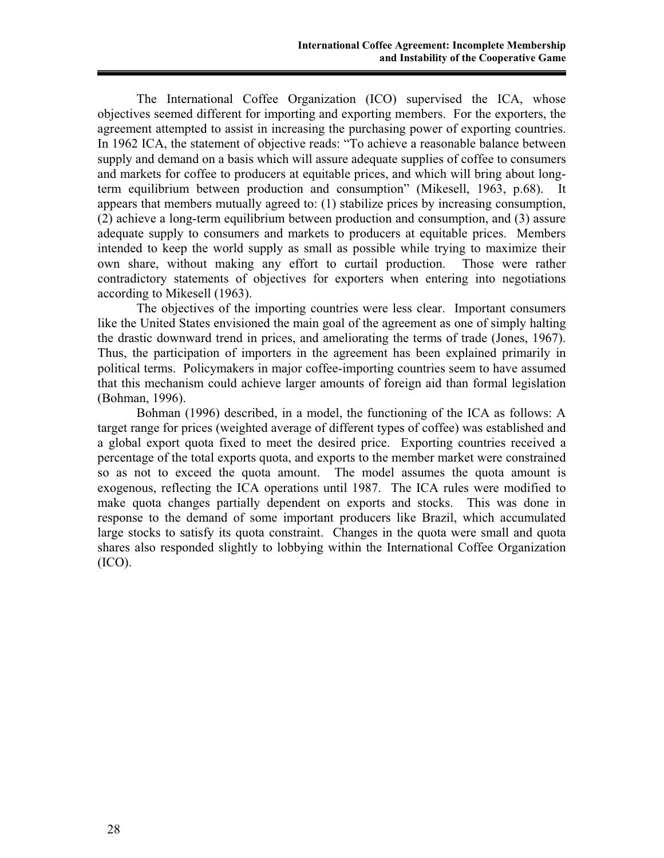The International Coffee Organization (ICO) supervised the ICA, whose objectives seemed different for importing and exporting members. For the exporters, the agreement attempted to assist in increasing the purchasing power of exporting countries. In 1962 ICA, the statement of objective reads: "To achieve a reasonable balance between supply and demand on a basis which will assure adequate supplies of coffee to consumers and markets for coffee to producers at equitable prices, and which will bring about longterm equilibrium between production and consumption" (Mikesell, 1963, p.68). It appears that members mutually agreed to: (1) stabilize prices by increasing consumption, (2) achieve a long-term equilibrium between production and consumption, and (3) assure adequate supply to consumers and markets to producers at equitable prices. Members intended to keep the world supply as small as possible while trying to maximize their own share, without making any effort to curtail production. Those were rather contradictory statements of objectives for exporters when entering into negotiations according to Mikesell (1963).

The objectives of the importing countries were less clear. Important consumers like the United States envisioned the main goal of the agreement as one of simply halting the drastic downward trend in prices, and ameliorating the terms of trade (Jones, 1967). Thus, the participation of importers in the agreement has been explained primarily in political terms. Policymakers in major coffee-importing countries seem to have assumed that this mechanism could achieve larger amounts of foreign aid than formal legislation (Bohman, 1996).

Bohman (1996) described, in a model, the functioning of the ICA as follows: A target range for prices (weighted average of different types of coffee) was established and a global export quota fixed to meet the desired price. Exporting countries received a percentage of the total exports quota, and exports to the member market were constrained so as not to exceed the quota amount. The model assumes the quota amount is exogenous, reflecting the ICA operations until 1987. The ICA rules were modified to make quota changes partially dependent on exports and stocks. This was done in response to the demand of some important producers like Brazil, which accumulated large stocks to satisfy its quota constraint. Changes in the quota were small and quota shares also responded slightly to lobbying within the International Coffee Organization  $(ICO).$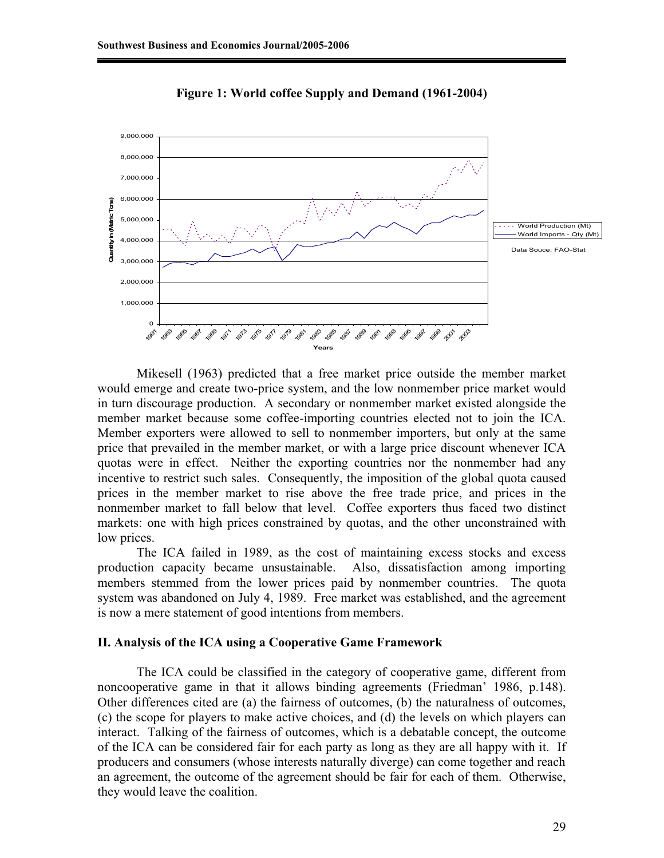

**Figure 1: World coffee Supply and Demand (1961-2004)** 

Mikesell (1963) predicted that a free market price outside the member market would emerge and create two-price system, and the low nonmember price market would in turn discourage production. A secondary or nonmember market existed alongside the member market because some coffee-importing countries elected not to join the ICA. Member exporters were allowed to sell to nonmember importers, but only at the same price that prevailed in the member market, or with a large price discount whenever ICA quotas were in effect. Neither the exporting countries nor the nonmember had any incentive to restrict such sales. Consequently, the imposition of the global quota caused prices in the member market to rise above the free trade price, and prices in the nonmember market to fall below that level. Coffee exporters thus faced two distinct markets: one with high prices constrained by quotas, and the other unconstrained with low prices.

The ICA failed in 1989, as the cost of maintaining excess stocks and excess production capacity became unsustainable. Also, dissatisfaction among importing members stemmed from the lower prices paid by nonmember countries. The quota system was abandoned on July 4, 1989. Free market was established, and the agreement is now a mere statement of good intentions from members.

### **II. Analysis of the ICA using a Cooperative Game Framework**

The ICA could be classified in the category of cooperative game, different from noncooperative game in that it allows binding agreements (Friedman' 1986, p.148). Other differences cited are (a) the fairness of outcomes, (b) the naturalness of outcomes, (c) the scope for players to make active choices, and (d) the levels on which players can interact. Talking of the fairness of outcomes, which is a debatable concept, the outcome of the ICA can be considered fair for each party as long as they are all happy with it. If producers and consumers (whose interests naturally diverge) can come together and reach an agreement, the outcome of the agreement should be fair for each of them. Otherwise, they would leave the coalition.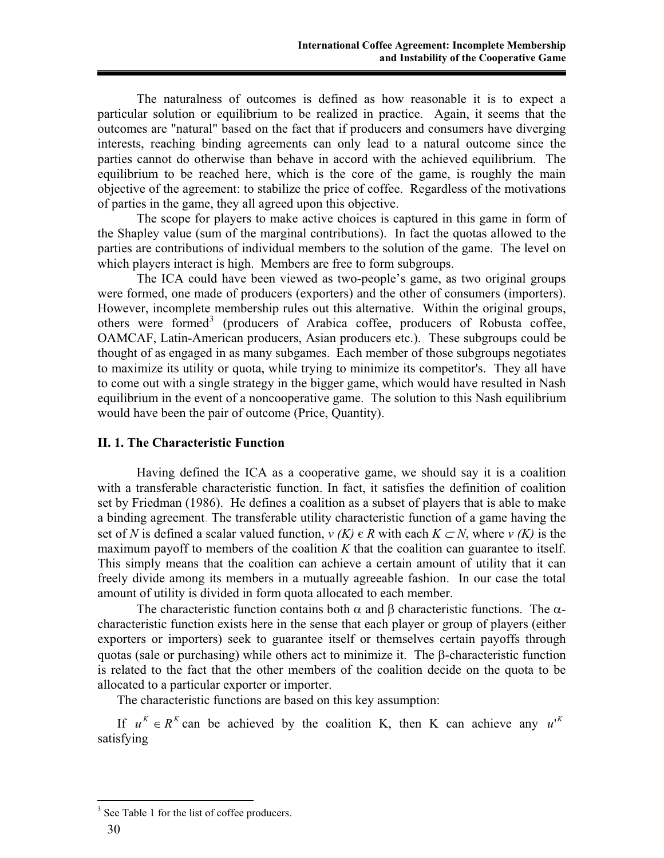The naturalness of outcomes is defined as how reasonable it is to expect a particular solution or equilibrium to be realized in practice. Again, it seems that the outcomes are "natural" based on the fact that if producers and consumers have diverging interests, reaching binding agreements can only lead to a natural outcome since the parties cannot do otherwise than behave in accord with the achieved equilibrium. The equilibrium to be reached here, which is the core of the game, is roughly the main objective of the agreement: to stabilize the price of coffee. Regardless of the motivations of parties in the game, they all agreed upon this objective.

The scope for players to make active choices is captured in this game in form of the Shapley value (sum of the marginal contributions). In fact the quotas allowed to the parties are contributions of individual members to the solution of the game. The level on which players interact is high. Members are free to form subgroups.

The ICA could have been viewed as two-people's game, as two original groups were formed, one made of producers (exporters) and the other of consumers (importers). However, incomplete membership rules out this alternative. Within the original groups, others were formed<sup>3</sup> (producers of Arabica coffee, producers of Robusta coffee, OAMCAF, Latin-American producers, Asian producers etc.). These subgroups could be thought of as engaged in as many subgames. Each member of those subgroups negotiates to maximize its utility or quota, while trying to minimize its competitor's. They all have to come out with a single strategy in the bigger game, which would have resulted in Nash equilibrium in the event of a noncooperative game. The solution to this Nash equilibrium would have been the pair of outcome (Price, Quantity).

## **II. 1. The Characteristic Function**

Having defined the ICA as a cooperative game, we should say it is a coalition with a transferable characteristic function. In fact, it satisfies the definition of coalition set by Friedman (1986). He defines a coalition as a subset of players that is able to make a binding agreement. The transferable utility characteristic function of a game having the set of *N* is defined a scalar valued function,  $v(K) \in R$  with each  $K \subset N$ , where  $v(K)$  is the maximum payoff to members of the coalition *K* that the coalition can guarantee to itself. This simply means that the coalition can achieve a certain amount of utility that it can freely divide among its members in a mutually agreeable fashion. In our case the total amount of utility is divided in form quota allocated to each member.

The characteristic function contains both  $\alpha$  and  $\beta$  characteristic functions. The  $\alpha$ characteristic function exists here in the sense that each player or group of players (either exporters or importers) seek to guarantee itself or themselves certain payoffs through quotas (sale or purchasing) while others act to minimize it. The  $\beta$ -characteristic function is related to the fact that the other members of the coalition decide on the quota to be allocated to a particular exporter or importer.

The characteristic functions are based on this key assumption:

If  $u^k \in R^k$  can be achieved by the coalition K, then K can achieve any  $u^{k}$ satisfying

 $\overline{a}$ 

<sup>&</sup>lt;sup>3</sup> See Table 1 for the list of coffee producers.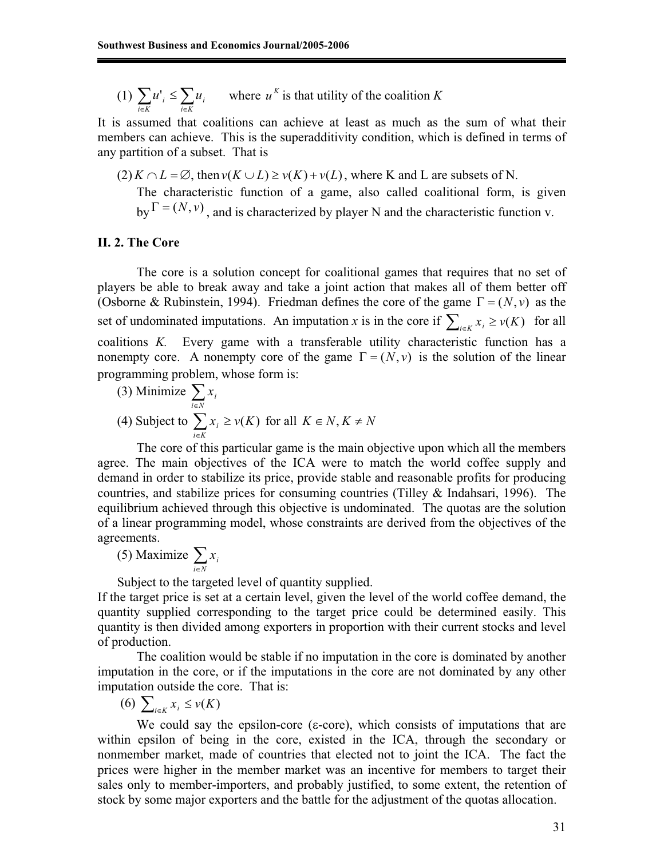(1)  $\sum_{i \in K} u'_i \leq \sum_{i \in K} u_i$  where  $u^K$  is that utility of the coalition *K i K i i K*  $u'_{i} \leq \sum u_{i}$  where  $u^{K}$ 

It is assumed that coalitions can achieve at least as much as the sum of what their members can achieve. This is the superadditivity condition, which is defined in terms of any partition of a subset. That is

 $(2) K \cap L = \emptyset$ , then  $v(K \cup L) \ge v(K) + v(L)$ , where K and L are subsets of N. The characteristic function of a game, also called coalitional form, is given by  $\Gamma = (N, v)$ , and is characterized by player N and the characteristic function v.

#### **II. 2. The Core**

The core is a solution concept for coalitional games that requires that no set of players be able to break away and take a joint action that makes all of them better off (Osborne & Rubinstein, 1994). Friedman defines the core of the game  $\Gamma = (N, v)$  as the set of undominated imputations. An imputation *x* is in the core if  $\sum_{i \in K} x_i \ge v(K)$  for all coalitions *K.* Every game with a transferable utility characteristic function has a nonempty core. A nonempty core of the game  $\Gamma = (N, v)$  is the solution of the linear programming problem, whose form is:

(3) Minimize 
$$
\sum_{i \in N} x_i
$$
  
(4) Subject to  $\sum_{i \in K} x_i \ge v(K)$  for all  $K \in N, K \ne N$ 

 The core of this particular game is the main objective upon which all the members agree. The main objectives of the ICA were to match the world coffee supply and demand in order to stabilize its price, provide stable and reasonable profits for producing countries, and stabilize prices for consuming countries (Tilley & Indahsari, 1996). The equilibrium achieved through this objective is undominated. The quotas are the solution of a linear programming model, whose constraints are derived from the objectives of the agreements.

(5) Maximize 
$$
\sum_{i \in N} x_i
$$

Subject to the targeted level of quantity supplied.

If the target price is set at a certain level, given the level of the world coffee demand, the quantity supplied corresponding to the target price could be determined easily. This quantity is then divided among exporters in proportion with their current stocks and level of production.

The coalition would be stable if no imputation in the core is dominated by another imputation in the core, or if the imputations in the core are not dominated by any other imputation outside the core. That is:

$$
(6) \sum_{i\in K} x_i \leq v(K)
$$

We could say the epsilon-core ( $\varepsilon$ -core), which consists of imputations that are within epsilon of being in the core, existed in the ICA, through the secondary or nonmember market, made of countries that elected not to joint the ICA. The fact the prices were higher in the member market was an incentive for members to target their sales only to member-importers, and probably justified, to some extent, the retention of stock by some major exporters and the battle for the adjustment of the quotas allocation.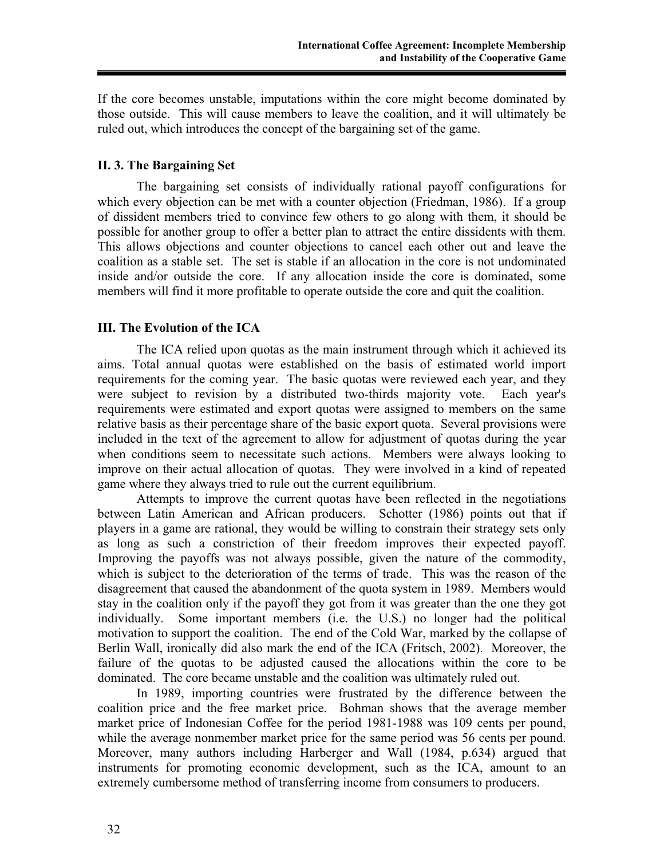If the core becomes unstable, imputations within the core might become dominated by those outside. This will cause members to leave the coalition, and it will ultimately be ruled out, which introduces the concept of the bargaining set of the game.

## **II. 3. The Bargaining Set**

The bargaining set consists of individually rational payoff configurations for which every objection can be met with a counter objection (Friedman, 1986). If a group of dissident members tried to convince few others to go along with them, it should be possible for another group to offer a better plan to attract the entire dissidents with them. This allows objections and counter objections to cancel each other out and leave the coalition as a stable set. The set is stable if an allocation in the core is not undominated inside and/or outside the core. If any allocation inside the core is dominated, some members will find it more profitable to operate outside the core and quit the coalition.

## **III. The Evolution of the ICA**

The ICA relied upon quotas as the main instrument through which it achieved its aims. Total annual quotas were established on the basis of estimated world import requirements for the coming year. The basic quotas were reviewed each year, and they were subject to revision by a distributed two-thirds majority vote. Each year's requirements were estimated and export quotas were assigned to members on the same relative basis as their percentage share of the basic export quota. Several provisions were included in the text of the agreement to allow for adjustment of quotas during the year when conditions seem to necessitate such actions. Members were always looking to improve on their actual allocation of quotas. They were involved in a kind of repeated game where they always tried to rule out the current equilibrium.

Attempts to improve the current quotas have been reflected in the negotiations between Latin American and African producers. Schotter (1986) points out that if players in a game are rational, they would be willing to constrain their strategy sets only as long as such a constriction of their freedom improves their expected payoff. Improving the payoffs was not always possible, given the nature of the commodity, which is subject to the deterioration of the terms of trade. This was the reason of the disagreement that caused the abandonment of the quota system in 1989. Members would stay in the coalition only if the payoff they got from it was greater than the one they got individually. Some important members (i.e. the U.S.) no longer had the political motivation to support the coalition. The end of the Cold War, marked by the collapse of Berlin Wall, ironically did also mark the end of the ICA (Fritsch, 2002). Moreover, the failure of the quotas to be adjusted caused the allocations within the core to be dominated. The core became unstable and the coalition was ultimately ruled out.

In 1989, importing countries were frustrated by the difference between the coalition price and the free market price. Bohman shows that the average member market price of Indonesian Coffee for the period 1981-1988 was 109 cents per pound, while the average nonmember market price for the same period was 56 cents per pound. Moreover, many authors including Harberger and Wall (1984, p.634) argued that instruments for promoting economic development, such as the ICA, amount to an extremely cumbersome method of transferring income from consumers to producers.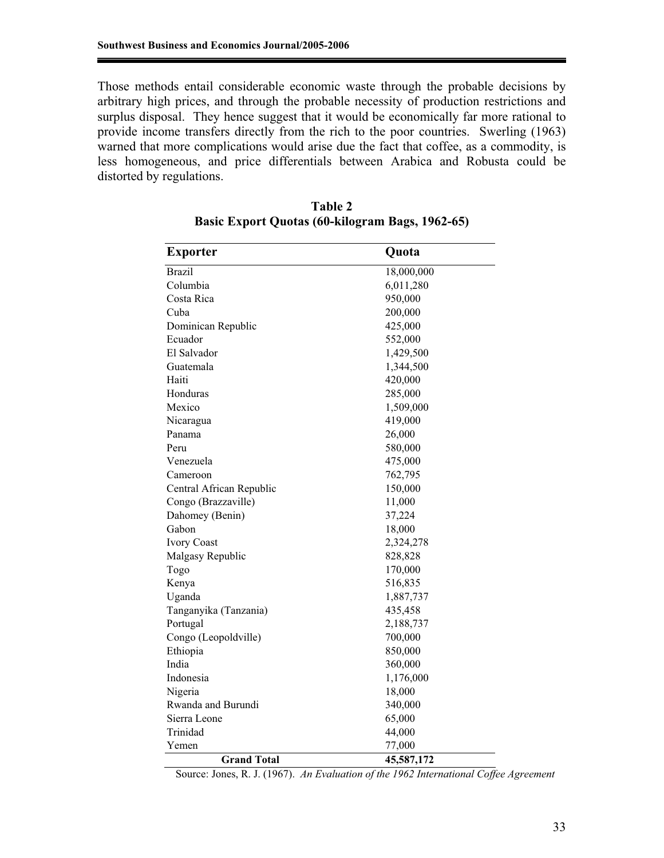Those methods entail considerable economic waste through the probable decisions by arbitrary high prices, and through the probable necessity of production restrictions and surplus disposal. They hence suggest that it would be economically far more rational to provide income transfers directly from the rich to the poor countries. Swerling (1963) warned that more complications would arise due the fact that coffee, as a commodity, is less homogeneous, and price differentials between Arabica and Robusta could be distorted by regulations.

| Exporter                 | Quota      |  |
|--------------------------|------------|--|
| <b>Brazil</b>            | 18,000,000 |  |
| Columbia                 | 6,011,280  |  |
| Costa Rica               | 950,000    |  |
| Cuba                     | 200,000    |  |
| Dominican Republic       | 425,000    |  |
| Ecuador                  | 552,000    |  |
| El Salvador              | 1,429,500  |  |
| Guatemala                | 1,344,500  |  |
| Haiti                    | 420,000    |  |
| Honduras                 | 285,000    |  |
| Mexico                   | 1,509,000  |  |
| Nicaragua                | 419,000    |  |
| Panama                   | 26,000     |  |
| Peru                     | 580,000    |  |
| Venezuela                | 475,000    |  |
| Cameroon                 | 762,795    |  |
| Central African Republic | 150,000    |  |
| Congo (Brazzaville)      | 11,000     |  |
| Dahomey (Benin)          | 37,224     |  |
| Gabon                    | 18,000     |  |
| <b>Ivory Coast</b>       | 2,324,278  |  |
| Malgasy Republic         | 828,828    |  |
| Togo                     | 170,000    |  |
| Kenya                    | 516,835    |  |
| Uganda                   | 1,887,737  |  |
| Tanganyika (Tanzania)    | 435,458    |  |
| Portugal                 | 2,188,737  |  |
| Congo (Leopoldville)     | 700,000    |  |
| Ethiopia                 | 850,000    |  |
| India                    | 360,000    |  |
| Indonesia                | 1,176,000  |  |
| Nigeria                  | 18,000     |  |
| Rwanda and Burundi       | 340,000    |  |
| Sierra Leone             | 65,000     |  |
| Trinidad                 | 44,000     |  |
| Yemen                    | 77,000     |  |
| <b>Grand Total</b>       | 45,587,172 |  |

**Table 2 Basic Export Quotas (60-kilogram Bags, 1962-65)** 

Source: Jones, R. J. (1967). *An Evaluation of the 1962 International Coffee Agreement*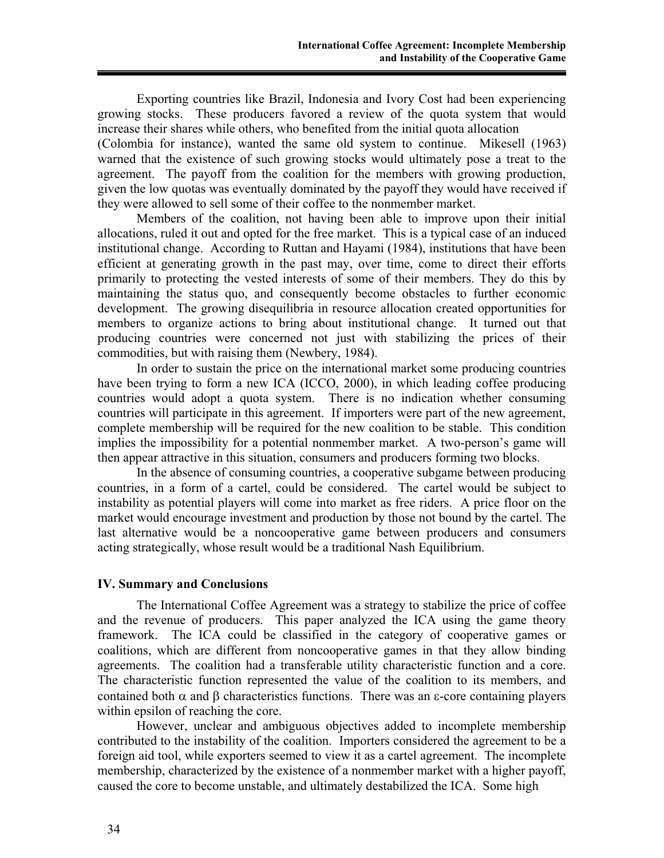Exporting countries like Brazil, Indonesia and Ivory Cost had been experiencing growing stocks. These producers favored a review of the quota system that would increase their shares while others, who benefited from the initial quota allocation

(Colombia for instance), wanted the same old system to continue. Mikesell (1963) warned that the existence of such growing stocks would ultimately pose a treat to the agreement. The payoff from the coalition for the members with growing production, given the low quotas was eventually dominated by the payoff they would have received if they were allowed to sell some of their coffee to the nonmember market.

Members of the coalition, not having been able to improve upon their initial allocations, ruled it out and opted for the free market. This is a typical case of an induced institutional change. According to Ruttan and Hayami (1984), institutions that have been efficient at generating growth in the past may, over time, come to direct their efforts primarily to protecting the vested interests of some of their members. They do this by maintaining the status quo, and consequently become obstacles to further economic development. The growing disequilibria in resource allocation created opportunities for members to organize actions to bring about institutional change. It turned out that producing countries were concerned not just with stabilizing the prices of their commodities, but with raising them (Newbery, 1984).

In order to sustain the price on the international market some producing countries have been trying to form a new ICA (ICCO, 2000), in which leading coffee producing countries would adopt a quota system. There is no indication whether consuming countries will participate in this agreement. If importers were part of the new agreement, complete membership will be required for the new coalition to be stable. This condition implies the impossibility for a potential nonmember market. A two-person's game will then appear attractive in this situation, consumers and producers forming two blocks.

In the absence of consuming countries, a cooperative subgame between producing countries, in a form of a cartel, could be considered. The cartel would be subject to instability as potential players will come into market as free riders. A price floor on the market would encourage investment and production by those not bound by the cartel. The last alternative would be a noncooperative game between producers and consumers acting strategically, whose result would be a traditional Nash Equilibrium.

#### **IV. Summary and Conclusions**

The International Coffee Agreement was a strategy to stabilize the price of coffee and the revenue of producers. This paper analyzed the ICA using the game theory framework. The ICA could be classified in the category of cooperative games or coalitions, which are different from noncooperative games in that they allow binding agreements. The coalition had a transferable utility characteristic function and a core. The characteristic function represented the value of the coalition to its members, and contained both  $\alpha$  and  $\beta$  characteristics functions. There was an  $\epsilon$ -core containing players within epsilon of reaching the core.

However, unclear and ambiguous objectives added to incomplete membership contributed to the instability of the coalition. Importers considered the agreement to be a foreign aid tool, while exporters seemed to view it as a cartel agreement. The incomplete membership, characterized by the existence of a nonmember market with a higher payoff, caused the core to become unstable, and ultimately destabilized the ICA. Some high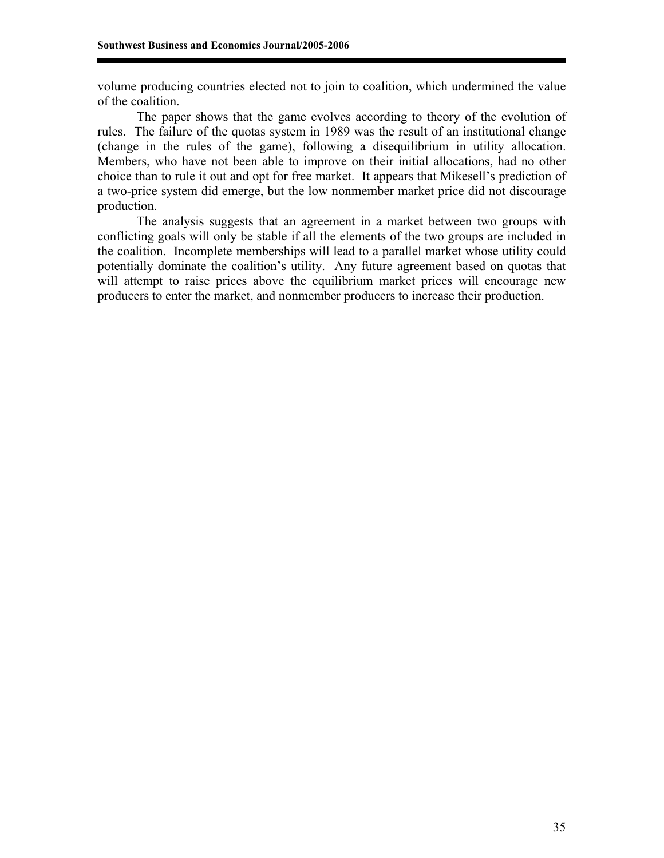volume producing countries elected not to join to coalition, which undermined the value of the coalition.

The paper shows that the game evolves according to theory of the evolution of rules. The failure of the quotas system in 1989 was the result of an institutional change (change in the rules of the game), following a disequilibrium in utility allocation. Members, who have not been able to improve on their initial allocations, had no other choice than to rule it out and opt for free market. It appears that Mikesell's prediction of a two-price system did emerge, but the low nonmember market price did not discourage production.

The analysis suggests that an agreement in a market between two groups with conflicting goals will only be stable if all the elements of the two groups are included in the coalition. Incomplete memberships will lead to a parallel market whose utility could potentially dominate the coalition's utility. Any future agreement based on quotas that will attempt to raise prices above the equilibrium market prices will encourage new producers to enter the market, and nonmember producers to increase their production.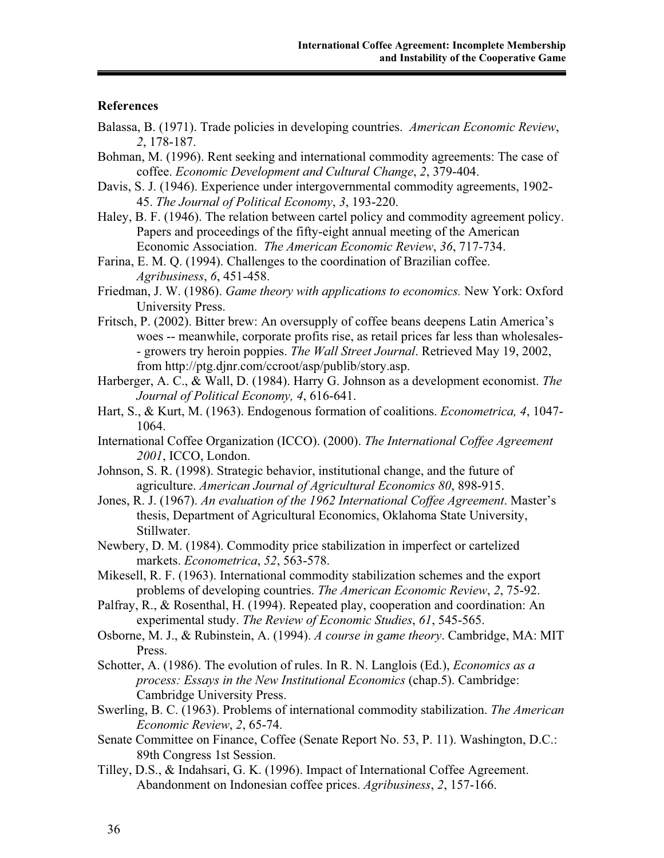#### **References**

- Balassa, B. (1971). Trade policies in developing countries. *American Economic Review*, *2*, 178-187.
- Bohman, M. (1996). Rent seeking and international commodity agreements: The case of coffee. *Economic Development and Cultural Change*, *2*, 379-404.
- Davis, S. J. (1946). Experience under intergovernmental commodity agreements, 1902- 45. *The Journal of Political Economy*, *3*, 193-220.
- Haley, B. F. (1946). The relation between cartel policy and commodity agreement policy. Papers and proceedings of the fifty-eight annual meeting of the American Economic Association. *The American Economic Review*, *36*, 717-734.
- Farina, E. M. Q. (1994). Challenges to the coordination of Brazilian coffee. *Agribusiness*, *6*, 451-458.
- Friedman, J. W. (1986). *Game theory with applications to economics.* New York: Oxford University Press.
- Fritsch, P. (2002). Bitter brew: An oversupply of coffee beans deepens Latin America's woes -- meanwhile, corporate profits rise, as retail prices far less than wholesales- - growers try heroin poppies. *The Wall Street Journal*. Retrieved May 19, 2002, from http://ptg.djnr.com/ccroot/asp/publib/story.asp.
- Harberger, A. C., & Wall, D. (1984). Harry G. Johnson as a development economist. *The Journal of Political Economy, 4*, 616-641.
- Hart, S., & Kurt, M. (1963). Endogenous formation of coalitions. *Econometrica, 4*, 1047- 1064.
- International Coffee Organization (ICCO). (2000). *The International Coffee Agreement 2001*, ICCO, London.
- Johnson, S. R. (1998). Strategic behavior, institutional change, and the future of agriculture. *American Journal of Agricultural Economics 80*, 898-915.
- Jones, R. J. (1967). *An evaluation of the 1962 International Coffee Agreement*. Master's thesis, Department of Agricultural Economics, Oklahoma State University, Stillwater.
- Newbery, D. M. (1984). Commodity price stabilization in imperfect or cartelized markets. *Econometrica*, *52*, 563-578.
- Mikesell, R. F. (1963). International commodity stabilization schemes and the export problems of developing countries. *The American Economic Review*, *2*, 75-92.
- Palfray, R., & Rosenthal, H. (1994). Repeated play, cooperation and coordination: An experimental study. *The Review of Economic Studies*, *61*, 545-565.
- Osborne, M. J., & Rubinstein, A. (1994). *A course in game theory*. Cambridge, MA: MIT Press.
- Schotter, A. (1986). The evolution of rules. In R. N. Langlois (Ed.), *Economics as a process: Essays in the New Institutional Economics* (chap.5). Cambridge: Cambridge University Press.
- Swerling, B. C. (1963). Problems of international commodity stabilization. *The American Economic Review*, *2*, 65-74.
- Senate Committee on Finance, Coffee (Senate Report No. 53, P. 11). Washington, D.C.: 89th Congress 1st Session.
- Tilley, D.S., & Indahsari, G. K. (1996). Impact of International Coffee Agreement. Abandonment on Indonesian coffee prices. *Agribusiness*, *2*, 157-166.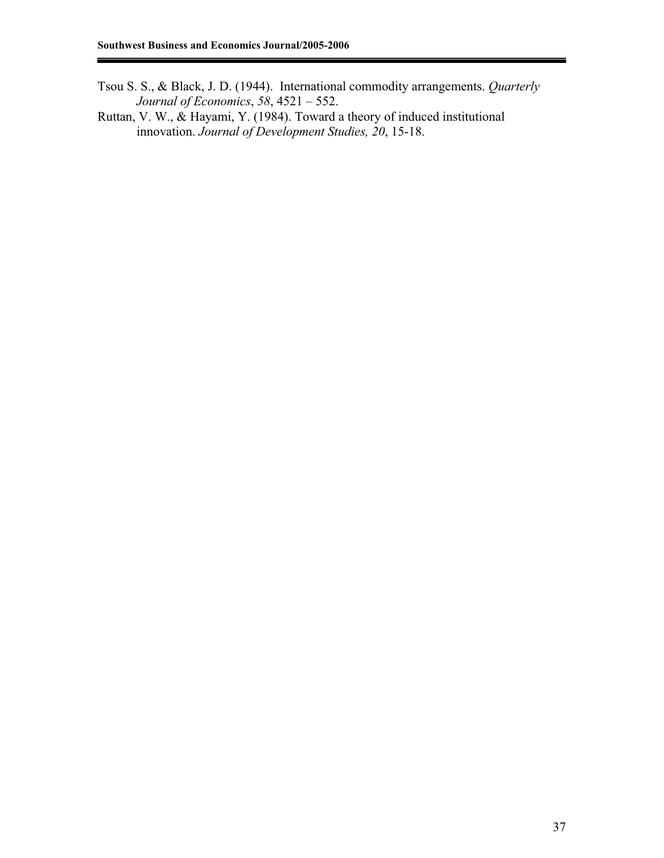- Tsou S. S., & Black, J. D. (1944). International commodity arrangements. *Quarterly Journal of Economics*, *58*, 4521 – 552.
- Ruttan, V. W., & Hayami, Y. (1984). Toward a theory of induced institutional innovation. *Journal of Development Studies, 20*, 15-18.